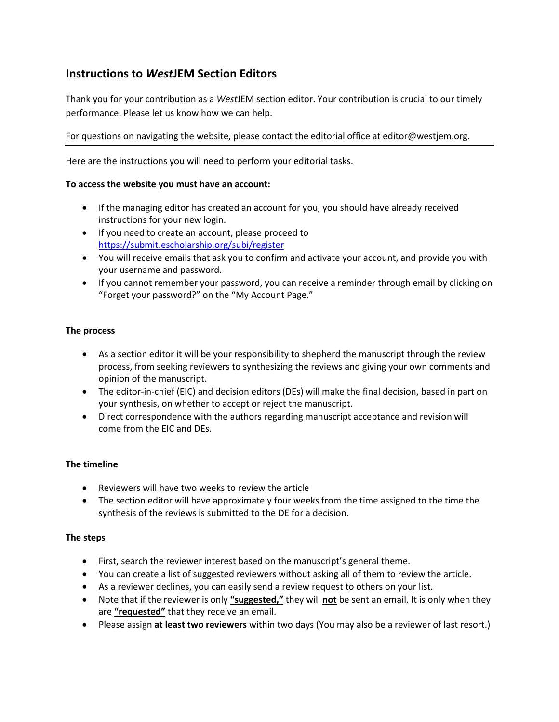# **Instructions to** *West***JEM Section Editors**

Thank you for your contribution as a *West*JEM section editor. Your contribution is crucial to our timely performance. Please let us know how we can help.

# For questions on navigating the website, please contact the editorial office at editor@westjem.org.

Here are the instructions you will need to perform your editorial tasks.

## **To access the website you must have an account:**

- If the managing editor has created an account for you, you should have already received instructions for your new login.
- If you need to create an account, please proceed to <https://submit.escholarship.org/subi/register>
- You will receive emails that ask you to confirm and activate your account, and provide you with your username and password.
- If you cannot remember your password, you can receive a reminder through email by clicking on "Forget your password?" on the "My Account Page."

## **The process**

- As a section editor it will be your responsibility to shepherd the manuscript through the review process, from seeking reviewers to synthesizing the reviews and giving your own comments and opinion of the manuscript.
- The editor-in-chief (EIC) and decision editors (DEs) will make the final decision, based in part on your synthesis, on whether to accept or reject the manuscript.
- Direct correspondence with the authors regarding manuscript acceptance and revision will come from the EIC and DEs.

## **The timeline**

- Reviewers will have two weeks to review the article
- The section editor will have approximately four weeks from the time assigned to the time the synthesis of the reviews is submitted to the DE for a decision.

## **The steps**

- First, search the reviewer interest based on the manuscript's general theme.
- You can create a list of suggested reviewers without asking all of them to review the article.
- As a reviewer declines, you can easily send a review request to others on your list.
- Note that if the reviewer is only **"suggested,"** they will **not** be sent an email. It is only when they are **"requested"** that they receive an email.
- Please assign **at least two reviewers** within two days (You may also be a reviewer of last resort.)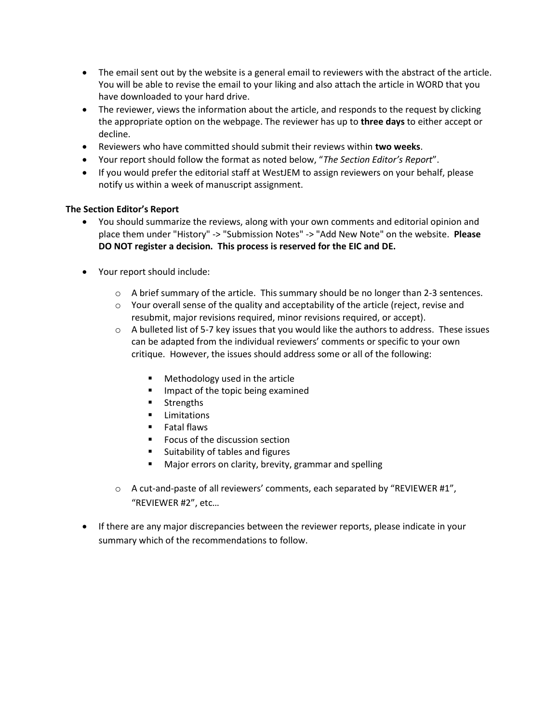- The email sent out by the website is a general email to reviewers with the abstract of the article. You will be able to revise the email to your liking and also attach the article in WORD that you have downloaded to your hard drive.
- The reviewer, views the information about the article, and responds to the request by clicking the appropriate option on the webpage. The reviewer has up to **three days** to either accept or decline.
- Reviewers who have committed should submit their reviews within **two weeks**.
- Your report should follow the format as noted below, "*The Section Editor's Report*".
- If you would prefer the editorial staff at WestJEM to assign reviewers on your behalf, please notify us within a week of manuscript assignment.

## **The Section Editor's Report**

- You should summarize the reviews, along with your own comments and editorial opinion and place them under "History" -> "Submission Notes" -> "Add New Note" on the website. **Please DO NOT register a decision. This process is reserved for the EIC and DE.**
- Your report should include:
	- $\circ$  A brief summary of the article. This summary should be no longer than 2-3 sentences.
	- $\circ$  Your overall sense of the quality and acceptability of the article (reject, revise and resubmit, major revisions required, minor revisions required, or accept).
	- $\circ$  A bulleted list of 5-7 key issues that you would like the authors to address. These issues can be adapted from the individual reviewers' comments or specific to your own critique. However, the issues should address some or all of the following:
		- Methodology used in the article
		- Impact of the topic being examined
		- **Strengths**
		- **E** Limitations
		- **Fatal flaws**
		- Focus of the discussion section
		- Suitability of tables and figures
		- Major errors on clarity, brevity, grammar and spelling
	- $\circ$  A cut-and-paste of all reviewers' comments, each separated by "REVIEWER #1", "REVIEWER #2", etc…
- If there are any major discrepancies between the reviewer reports, please indicate in your summary which of the recommendations to follow.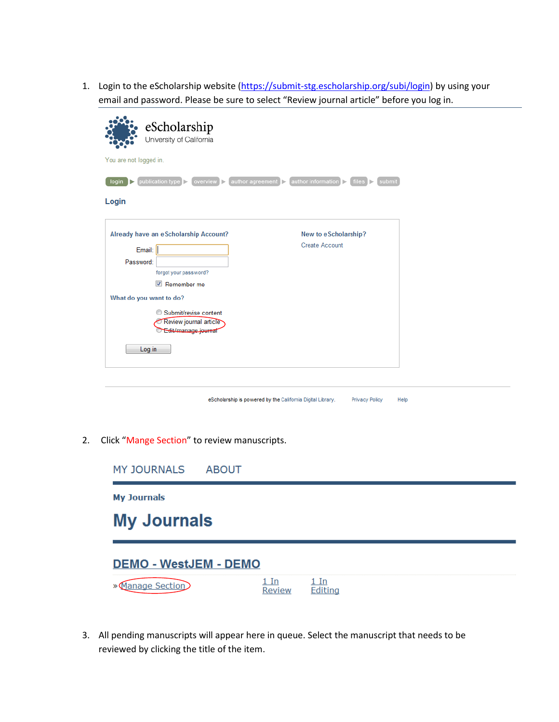1. Login to the eScholarship website [\(https://submit-stg.escholarship.org/subi/login\)](https://submit-stg.escholarship.org/subi/login) by using your email and password. Please be sure to select "Review journal article" before you log in.

| eScholarship<br>University of California                                                                                                                                                                            |                                                                                               |
|---------------------------------------------------------------------------------------------------------------------------------------------------------------------------------------------------------------------|-----------------------------------------------------------------------------------------------|
| You are not logged in.                                                                                                                                                                                              |                                                                                               |
| publication type $\triangleright$<br>overview $\triangleright$<br>login<br>l Þ                                                                                                                                      | $[$ author agreement $]$<br>$ $ author information $ >$<br>$files$ $\triangleright$<br>submit |
| Login                                                                                                                                                                                                               |                                                                                               |
| Already have an eScholarship Account?<br>Email:<br>Password:<br>forgot your password?<br>Remember me<br>What do you want to do?<br>Submit/revise content<br>Review journal article<br>Edit/manage_journal<br>Log in | New to eScholarship?<br><b>Create Account</b>                                                 |
|                                                                                                                                                                                                                     |                                                                                               |

| eScholarship is powered by the California Digital Library. |  | <b>Privacy Policy</b> | Help |
|------------------------------------------------------------|--|-----------------------|------|
|------------------------------------------------------------|--|-----------------------|------|

2. Click "Mange Section" to review manuscripts.

| <b>MY JOURNALS</b>           | <b>ABOUT</b> |                |                 |  |  |  |
|------------------------------|--------------|----------------|-----------------|--|--|--|
| <b>My Journals</b>           |              |                |                 |  |  |  |
| <b>My Journals</b>           |              |                |                 |  |  |  |
| <b>DEMO - WestJEM - DEMO</b> |              |                |                 |  |  |  |
| aae Section                  |              | . In<br>Review | 1 In<br>Editina |  |  |  |

3. All pending manuscripts will appear here in queue. Select the manuscript that needs to be reviewed by clicking the title of the item.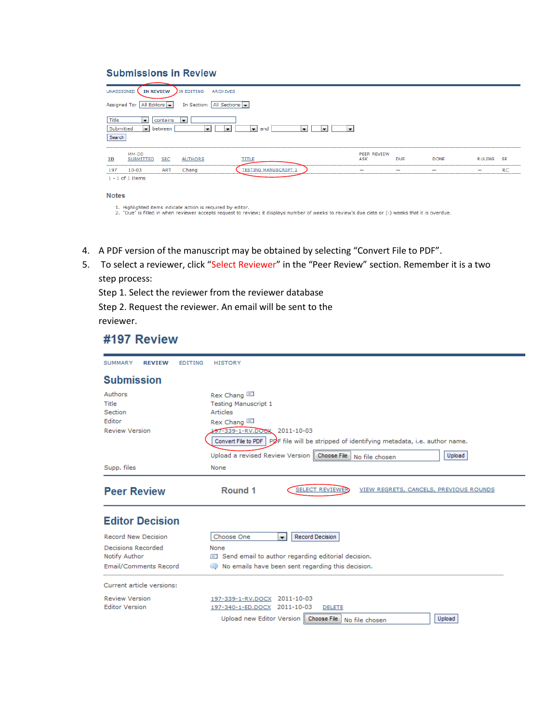## **Submissions in Review**

| UNASSIGNED<br><b>IN REVIEW</b><br>IN EDITING<br><b>ARCHIVES</b>                                                                                                                                             |                          |                          |             |               |           |
|-------------------------------------------------------------------------------------------------------------------------------------------------------------------------------------------------------------|--------------------------|--------------------------|-------------|---------------|-----------|
| All Editors $\vert$<br>In Section: All Sections<br>Assigned To:                                                                                                                                             |                          |                          |             |               |           |
| Title<br>contains<br>l v<br>$\blacksquare$<br>Submitted<br>$\overline{\phantom{a}}$<br>between<br>and<br>Iv.<br>×.<br>×.<br>$\blacksquare$<br>$\overline{\mathbf{v}}$<br>$\overline{\phantom{a}}$<br>Search |                          |                          |             |               |           |
| MM-DD<br><b>TITLE</b><br><b>SUBMITTED</b><br><b>SEC</b><br><u>ID</u><br><b>AUTHORS</b>                                                                                                                      | PEER REVIEW<br>ASK       | <b>DUE</b>               | <b>DONE</b> | <b>RULING</b> | -SE       |
| <b>TESTING MANUSCRIPT</b><br>Chang<br><b>ART</b><br>197<br>$10 - 03$<br>$1 - 1$ of 1 Items                                                                                                                  | $\overline{\phantom{0}}$ | $\overline{\phantom{0}}$ |             | -             | <b>RC</b> |

#### **Notes**

1. Highlighted items indicate action is required by editor.<br>2. "Due" is filled in when reviewer accepts request to review; it displays number of weeks to review's due date or (-) weeks that it is overdue.

- 4. A PDF version of the manuscript may be obtained by selecting "Convert File to PDF".
- 5. To select a reviewer, click "Select Reviewer" in the "Peer Review" section. Remember it is a two step process:

Step 1. Select the reviewer from the reviewer database

Step 2. Request the reviewer. An email will be sent to the reviewer.

# #197 Review

| SUMMARY                                                               | <b>REVIEW</b>                | <b>EDITING</b> | HISTORY                                                                                                                                                                                                                                                                      |
|-----------------------------------------------------------------------|------------------------------|----------------|------------------------------------------------------------------------------------------------------------------------------------------------------------------------------------------------------------------------------------------------------------------------------|
| <b>Submission</b>                                                     |                              |                |                                                                                                                                                                                                                                                                              |
| Authors<br>Title<br>Section<br><b>Editor</b><br><b>Review Version</b> |                              |                | Rex Chang<br><b>Testing Manuscript 1</b><br>Articles<br>Rex Chang<br>197-339-1-RV.DOCX 2011-10-03<br>Convert File to PDF   PDF file will be stripped of identifying metadata, i.e. author name.<br>Upload a revised Review Version   Choose File<br>Upload<br>No file chosen |
| Supp. files                                                           |                              |                | None                                                                                                                                                                                                                                                                         |
| <b>Peer Review</b>                                                    |                              |                | Round 1<br><b>SELECT REVIEWER</b><br>VIEW REGRETS, CANCELS, PREVIOUS ROUNDS                                                                                                                                                                                                  |
|                                                                       | <b>Editor Decision</b>       |                |                                                                                                                                                                                                                                                                              |
| Record New Decision<br>Decisions Recorded<br>Notify Author            | <b>Email/Comments Record</b> |                | Choose One<br><b>Record Decision</b><br>$\overline{\phantom{a}}$<br>None<br>Send email to author regarding editorial decision.<br>No emails have been sent regarding this decision.                                                                                          |
|                                                                       | Current article versions:    |                |                                                                                                                                                                                                                                                                              |
| <b>Review Version</b><br><b>Editor Version</b>                        |                              |                | 2011-10-03<br>197-339-1-RV.DOCX<br>2011-10-03<br>197-340-1-ED.DOCX<br><b>DELETE</b><br>Upload new Editor Version<br><b>Choose File</b><br>Upload<br>No file chosen                                                                                                           |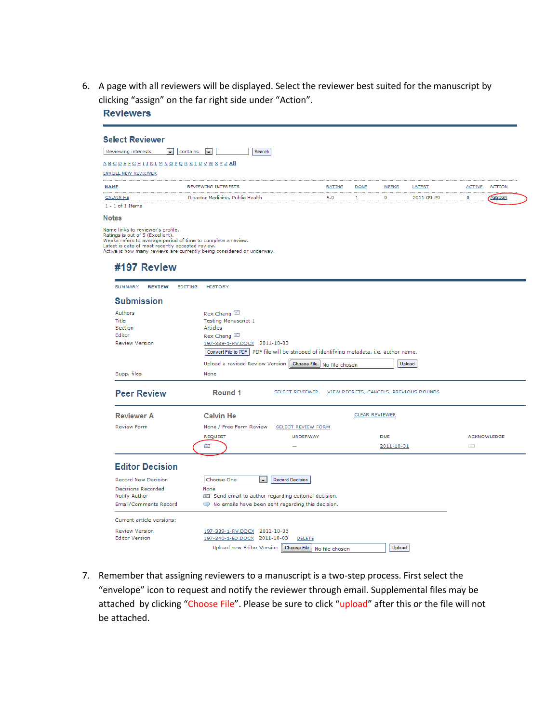6. A page with all reviewers will be displayed. Select the reviewer best suited for the manuscript by clicking "assign" on the far right side under "Action". **Reviewers** 

| Reviewing interests<br>contains<br>×.                                                                                                                               | Search<br>$\mathbf{r}$                                                                                  |                                                                      |                       |              |                                        |               |                    |
|---------------------------------------------------------------------------------------------------------------------------------------------------------------------|---------------------------------------------------------------------------------------------------------|----------------------------------------------------------------------|-----------------------|--------------|----------------------------------------|---------------|--------------------|
| A B C D E F G H I J K L M N O P Q R S T U V W X Y Z All                                                                                                             |                                                                                                         |                                                                      |                       |              |                                        |               |                    |
| <b>ENROLL NEW REVIEWER</b>                                                                                                                                          |                                                                                                         |                                                                      |                       |              |                                        |               |                    |
| <b>NAME</b>                                                                                                                                                         | <b>REVIEWING INTERESTS</b>                                                                              | <b>RATING</b>                                                        | <b>DONE</b>           | <b>WEEKS</b> | LATEST                                 | <b>ACTIVE</b> | <b>ACTION</b>      |
| <b>CALVIN HE</b>                                                                                                                                                    | Disaster Medicine, Public Health                                                                        | 5.0                                                                  | 1                     | 0            | 2011-09-29                             | 0             | ASSIGN             |
| $1 - 1$ of 1 Items                                                                                                                                                  |                                                                                                         |                                                                      |                       |              |                                        |               |                    |
| <b>Notes</b>                                                                                                                                                        |                                                                                                         |                                                                      |                       |              |                                        |               |                    |
| Ratings is out of 5 (Excellent).<br>Weeks refers to average period of time to complete a review.<br>Latest is date of most recently accepted review.<br>#197 Review | Active is how many reviews are currently being considered or underway.                                  |                                                                      |                       |              |                                        |               |                    |
| SUMMARY<br><b>REVIEW</b><br>EDITING                                                                                                                                 | <b>HISTORY</b>                                                                                          |                                                                      |                       |              |                                        |               |                    |
| <b>Submission</b>                                                                                                                                                   |                                                                                                         |                                                                      |                       |              |                                        |               |                    |
| Authors<br>Title<br>Section<br>Editor                                                                                                                               | Rex Chang<br><b>Testing Manuscript 1</b><br><b>Articles</b><br>Rex Chang                                |                                                                      |                       |              |                                        |               |                    |
| <b>Review Version</b>                                                                                                                                               | 197-339-1-RV.DOCX 2011-10-03<br>Convert File to PDF                                                     | PDF file will be stripped of identifying metadata, i.e. author name. |                       |              |                                        |               |                    |
| Supp. files                                                                                                                                                         | Upload a revised Review Version<br>None                                                                 | Choose File<br>No file chosen                                        |                       |              | Upload                                 |               |                    |
| <b>Peer Review</b>                                                                                                                                                  | Round 1                                                                                                 | <b>SELECT REVIEWER</b>                                               |                       |              | VIEW REGRETS, CANCELS, PREVIOUS ROUNDS |               |                    |
| <b>Reviewer A</b>                                                                                                                                                   | <b>Calvin He</b>                                                                                        |                                                                      | <b>CLEAR REVIEWER</b> |              |                                        |               |                    |
| <b>Review Form</b>                                                                                                                                                  | None / Free Form Review                                                                                 | <b>SELECT REVIEW FORM</b>                                            |                       |              |                                        |               |                    |
|                                                                                                                                                                     | <b>REQUEST</b>                                                                                          | <b>UNDERWAY</b>                                                      |                       | <b>DUE</b>   |                                        |               | <b>ACKNOWLEDGE</b> |
|                                                                                                                                                                     | 嘗                                                                                                       |                                                                      |                       | 2011-10-31   |                                        | 官门            |                    |
| <b>Editor Decision</b>                                                                                                                                              |                                                                                                         |                                                                      |                       |              |                                        |               |                    |
| <b>Record New Decision</b>                                                                                                                                          | Choose One<br><b>Record Decision</b><br>$\blacksquare$                                                  |                                                                      |                       |              |                                        |               |                    |
| Decisions Recorded                                                                                                                                                  | None                                                                                                    |                                                                      |                       |              |                                        |               |                    |
| Notify Author<br><b>Email/Comments Record</b>                                                                                                                       | Send email to author regarding editorial decision.<br>No emails have been sent regarding this decision. |                                                                      |                       |              |                                        |               |                    |
|                                                                                                                                                                     |                                                                                                         |                                                                      |                       |              |                                        |               |                    |
| Current article versions:                                                                                                                                           |                                                                                                         |                                                                      |                       |              |                                        |               |                    |
|                                                                                                                                                                     |                                                                                                         |                                                                      |                       |              |                                        |               |                    |
| <b>Review Version</b><br><b>Editor Version</b>                                                                                                                      | 197-339-1-RV.DOCX 2011-10-03<br>197-340-1-ED.DOCX 2011-10-03                                            | <b>DELETE</b>                                                        |                       |              |                                        |               |                    |

7. Remember that assigning reviewers to a manuscript is a two-step process. First select the "envelope" icon to request and notify the reviewer through email. Supplemental files may be attached by clicking "Choose File". Please be sure to click "upload" after this or the file will not be attached.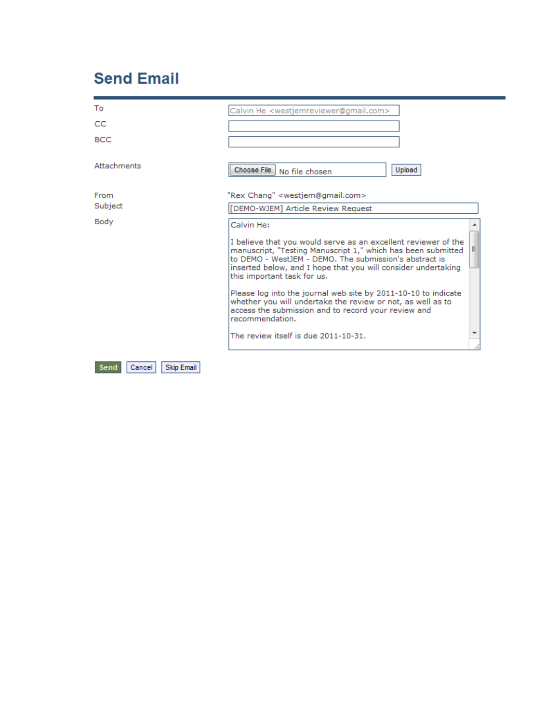# **Send Email**

| To                                  | Calvin He <westjemreviewer@gmail.com></westjemreviewer@gmail.com>                                                                                                                                                                                                                                                                                                                                                                                                                                                      |
|-------------------------------------|------------------------------------------------------------------------------------------------------------------------------------------------------------------------------------------------------------------------------------------------------------------------------------------------------------------------------------------------------------------------------------------------------------------------------------------------------------------------------------------------------------------------|
| CC                                  |                                                                                                                                                                                                                                                                                                                                                                                                                                                                                                                        |
| <b>BCC</b>                          |                                                                                                                                                                                                                                                                                                                                                                                                                                                                                                                        |
| <b>Attachments</b>                  | Upload<br>Choose File   No file chosen                                                                                                                                                                                                                                                                                                                                                                                                                                                                                 |
| From                                | "Rex Chang" <westjem@gmail.com></westjem@gmail.com>                                                                                                                                                                                                                                                                                                                                                                                                                                                                    |
| Subject                             | [DEMO-WJEM] Article Review Request                                                                                                                                                                                                                                                                                                                                                                                                                                                                                     |
| Body                                | Calvin He:<br>I believe that you would serve as an excellent reviewer of the<br>Ξ<br>manuscript, "Testing Manuscript 1," which has been submitted<br>to DEMO - WestJEM - DEMO. The submission's abstract is<br>inserted below, and I hope that you will consider undertaking<br>this important task for us.<br>Please log into the journal web site by 2011-10-10 to indicate<br>whether you will undertake the review or not, as well as to<br>access the submission and to record your review and<br>recommendation. |
|                                     | The review itself is due 2011-10-31.                                                                                                                                                                                                                                                                                                                                                                                                                                                                                   |
| <b>Skip Email</b><br>Cancel<br>Send |                                                                                                                                                                                                                                                                                                                                                                                                                                                                                                                        |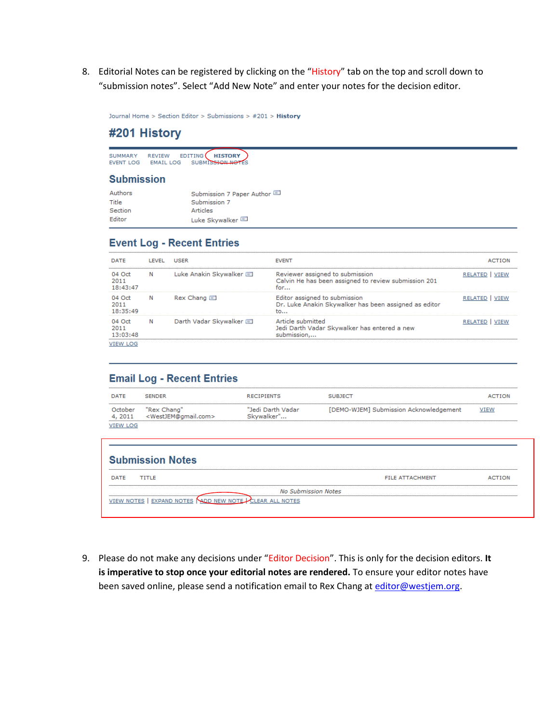8. Editorial Notes can be registered by clicking on the "History" tab on the top and scroll down to "submission notes". Select "Add New Note" and enter your notes for the decision editor.

Journal Home > Section Editor > Submissions > #201 > History

# #201 History

SUMMARY REVIEW EDITING HISTORY

### **Submission**

| Authors | Submission 7 Paper Author |
|---------|---------------------------|
| Title   | Submission 7              |
| Section | Articles                  |
| Editor  | Luke Skywalker            |

# **Event Log - Recent Entries**

| DATE                                               | LEVEL | USER                  | <b>EVENT</b>                                                                                   | <b>ACTION</b>         |
|----------------------------------------------------|-------|-----------------------|------------------------------------------------------------------------------------------------|-----------------------|
| 04 Oct<br>$\mathbb N$<br>2011<br>18:43:47          |       | Luke Anakin Skywalker | Reviewer assigned to submission<br>Calvin He has been assigned to review submission 201<br>for | <b>RELATED   VIEW</b> |
| 04 Oct<br><b>N</b><br>2011<br>18:35:49             |       | Rex Chang             | Editor assigned to submission<br>Dr. Luke Anakin Skywalker has been assigned as editor<br>to   | <b>RELATED   VIEW</b> |
| N<br>04 Oct<br>2011<br>13:03:48<br><b>VIEW LOG</b> |       | Darth Vadar Skywalker | Article submitted<br>Jedi Darth Vadar Skywalker has entered a new<br>submission                | <b>RELATED   VIEW</b> |

# **Email Log - Recent Entries**

| DATE                                  | <b>SENDER</b>                                          | <b>RECIPIENTS</b>               | <b>SUBJECT</b>                         | <b>ACTION</b> |
|---------------------------------------|--------------------------------------------------------|---------------------------------|----------------------------------------|---------------|
| October<br>4, 2011<br><b>VIEW LOG</b> | "Rex Chang"<br><westjem@gmail.com></westjem@gmail.com> | "Jedi Darth Vadar<br>Skywalker" | [DEMO-WJEM] Submission Acknowledgement | VIEW          |
|                                       | <b>Submission Notes</b>                                |                                 |                                        |               |

| Submission Notes                                        |                        |               |
|---------------------------------------------------------|------------------------|---------------|
| TITLE<br><b>DATE</b>                                    | <b>FILE ATTACHMENT</b> | <b>ACTION</b> |
| <b>No Submission Notes</b><br>                          |                        |               |
| VIEW NOTES   EXPAND NOTES NADD NEW NOTE CLEAR ALL NOTES |                        |               |

9. Please do not make any decisions under "Editor Decision". This is only for the decision editors. **It is imperative to stop once your editorial notes are rendered.** To ensure your editor notes have been saved online, please send a notification email to Rex Chang a[t editor@westjem.org.](mailto:editor@westjem.org)